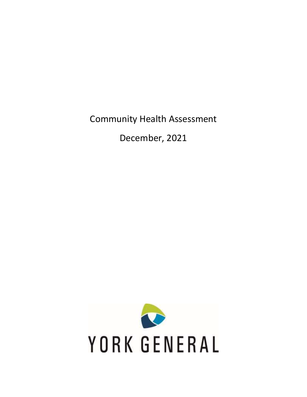Community Health Assessment

December, 2021

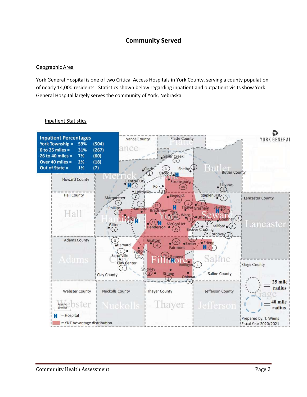# **Community Served**

## Geographic Area

York General Hospital is one of two Critical Access Hospitals in York County, serving a county population of nearly 14,000 residents. Statistics shown below regarding inpatient and outpatient visits show York General Hospital largely serves the community of York, Nebraska.



## Inpatient Statistics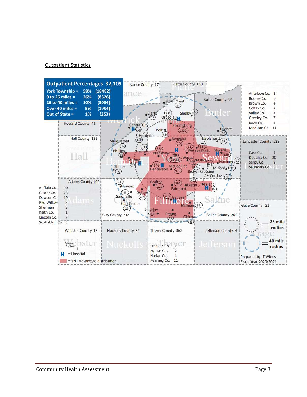#### Outpatient Statistics

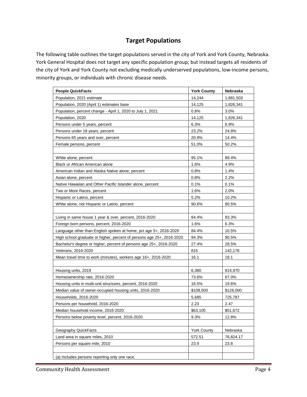## **Target Populations**

The following table outlines the target populations served in the city of York and York County, Nebraska. York General Hospital does not target any specific population group; but instead targets all residents of the city of York and York County not excluding medically underserved populations, low-income persons, minority groups, or individuals with chronic disease needs.

| <b>People QuickFacts</b>                                              | <b>York County</b> | Nebraska  |
|-----------------------------------------------------------------------|--------------------|-----------|
| Population, 2021 estimate                                             | 14,244             | 1,881,503 |
| Population, 2020 (April 1) estimates base                             | 14,125             | 1,826,341 |
| Population, percent change - April 1, 2020 to July 1, 2021            | 0.8%               | 3.0%      |
| Population, 2020                                                      | 14,125             | 1,826,341 |
| Persons under 5 years, percent                                        | 6.3%               | 6.9%      |
| Persons under 18 years, percent                                       | 23.2%              | 24.8%     |
| Persons 65 years and over, percent                                    | 20.9%              | 14.4%     |
| Female persons, percent                                               | 51.0%              | 50.2%     |
|                                                                       |                    |           |
| White alone, percent                                                  | 95.1%              | 89.4%     |
| Black or African American alone                                       | 1.6%               | 4.9%      |
| American Indian and Alaska Native alone, percent                      | 0.8%               | 1.4%      |
| Asian alone, percent                                                  | 0.8%               | 2.2%      |
| Native Hawaiian and Other Pacific Islander alone, percent             | 0.1%               | 0.1%      |
| Two or More Races, percent                                            | 1.6%               | 2.0%      |
| Hispanic or Latino, percent                                           | 5.2%               | 10.2%     |
| White alone, not Hispanic or Latino, percent                          | 90.6%              | 80.5%     |
|                                                                       |                    |           |
| Living in same house 1 year & over, percent, 2016-2020                | 84.4%              | 83.3%     |
| Foreign born persons, percent, 2016-2020                              | 1.6%               | 6.3%      |
| Language other than English spoken at home, pct age 5+, 2016-2020     | 84.4%              | 10.5%     |
| High school graduate or higher, percent of persons age 25+, 2016-2020 | 94.3%              | 90.5%     |
| Bachelor's degree or higher, percent of persons age 25+, 2016-2020    | 27.4%              | 28.5%     |
| Veterans, 2016-2020                                                   | 815                | 142,176   |
| Mean travel time to work (minutes), workers age 16+, 2016-2020        | 16.1               | 18.1      |
|                                                                       |                    |           |
| Housing units, 2019                                                   | 6,380              | 814,970   |
| Homeownership rate, 2016-2020                                         | 73.6%              | 67.0%     |
| Housing units in multi-unit structures, percent, 2016-2020            | 16.5%              | 19.6%     |
| Median value of owner-occupied housing units, 2016-2020               | \$108,500          | \$128,000 |
| Households, 2016-2020                                                 | 5,685              | 725,787   |
| Persons per household, 2016-2020                                      | 2.23               | 2.47      |
| Median household income, 2016-2020                                    | \$63,105           | \$51,672  |
| Persons below poverty level, percent, 2016-2020                       | 9.3%               | 12.8%     |
|                                                                       |                    |           |
| Geography QuickFacts                                                  | <b>York County</b> | Nebraska  |
| Land area in square miles, 2010                                       | 572.51             | 76,824.17 |
| Persons per square mile, 2010                                         | 23.9               | 23.8      |
|                                                                       |                    |           |
| (a) Includes persons reporting only one race.                         |                    |           |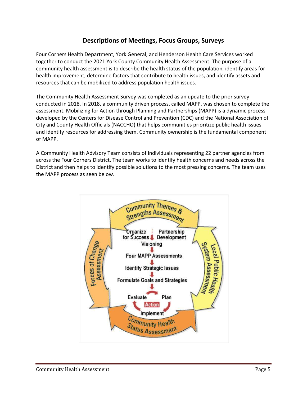## **Descriptions of Meetings, Focus Groups, Surveys**

Four Corners Health Department, York General, and Henderson Health Care Services worked together to conduct the 2021 York County Community Health Assessment. The purpose of a community health assessment is to describe the health status of the population, identify areas for health improvement, determine factors that contribute to health issues, and identify assets and resources that can be mobilized to address population health issues.

The Community Health Assessment Survey was completed as an update to the prior survey conducted in 2018. In 2018, a community driven process, called MAPP, was chosen to complete the assessment. Mobilizing for Action through Planning and Partnerships (MAPP) is a dynamic process developed by the Centers for Disease Control and Prevention (CDC) and the National Association of City and County Health Officials (NACCHO) that helps communities prioritize public health issues and identify resources for addressing them. Community ownership is the fundamental component of MAPP.

A Community Health Advisory Team consists of individuals representing 22 partner agencies from across the Four Corners District. The team works to identify health concerns and needs across the District and then helps to identify possible solutions to the most pressing concerns. The team uses the MAPP process as seen below.

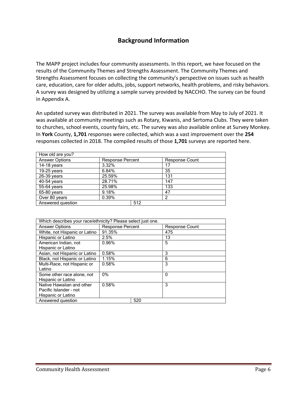## **Background Information**

The MAPP project includes four community assessments. In this report, we have focused on the results of the Community Themes and Strengths Assessment. The Community Themes and Strengths Assessment focuses on collecting the community's perspective on issues such as health care, education, care for older adults, jobs, support networks, health problems, and risky behaviors. A survey was designed by utilizing a sample survey provided by NACCHO. The survey can be found in Appendix A.

An updated survey was distributed in 2021. The survey was available from May to July of 2021. It was available at community meetings such as Rotary, Kiwanis, and Sertoma Clubs. They were taken to churches, school events, county fairs, etc. The survey was also available online at Survey Monkey. In **York** County, **1,701** responses were collected, which was a vast improvement over the **254**  responses collected in 2018. The compiled results of those **1,701** surveys are reported here.

| How old are you?      |                         |     |                       |
|-----------------------|-------------------------|-----|-----------------------|
| <b>Answer Options</b> | <b>Response Percent</b> |     | <b>Response Count</b> |
| 14-18 years           | 3.32%                   |     | 17                    |
| $19-25$ years         | 6.84%                   |     | 35                    |
| $26-39$ years         | 25.59%                  |     | 131                   |
| 40-54 years           | 28.71%                  |     | 147                   |
| 55-64 years           | 25.98%                  |     | 133                   |
| 65-80 years           | 9.18%                   |     | 47                    |
| Over 80 years         | 0.39%                   |     | 2                     |
| Answered question     |                         | 512 |                       |

| Which describes your race/ethnicity? Please select just one. |                         |     |                       |  |
|--------------------------------------------------------------|-------------------------|-----|-----------------------|--|
| <b>Answer Options</b>                                        | <b>Response Percent</b> |     | <b>Response Count</b> |  |
| White, not Hispanic or Latino                                | 91.35%                  |     | 475                   |  |
| Hispanic or Latino                                           | 2.5%                    |     | 13                    |  |
| American Indian, not                                         | 0.96%                   |     | 5                     |  |
| Hispanic or Latino                                           |                         |     |                       |  |
| Asian, not Hispanic or Latino                                | 0.58%                   |     | 3                     |  |
| Black, not Hispanic or Latino                                | 1.15%                   |     | 6                     |  |
| Multi-Race, not Hispanic or                                  | 0.58%                   |     | 3                     |  |
| Latino                                                       |                         |     |                       |  |
| Some other race alone, not                                   | $0\%$                   |     | $\Omega$              |  |
| Hispanic or Latino                                           |                         |     |                       |  |
| Native Hawaiian and other                                    | 0.58%                   |     | 3                     |  |
| Pacific Islander - not                                       |                         |     |                       |  |
| Hispanic or Latino                                           |                         |     |                       |  |
| Answered question                                            |                         | 520 |                       |  |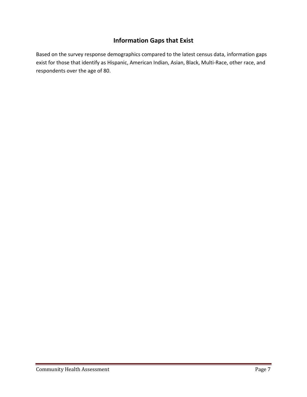# **Information Gaps that Exist**

Based on the survey response demographics compared to the latest census data, information gaps exist for those that identify as Hispanic, American Indian, Asian, Black, Multi-Race, other race, and respondents over the age of 80.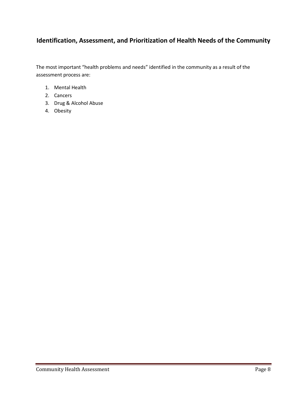# **Identification, Assessment, and Prioritization of Health Needs of the Community**

The most important "health problems and needs" identified in the community as a result of the assessment process are:

- 1. Mental Health
- 2. Cancers
- 3. Drug & Alcohol Abuse
- 4. Obesity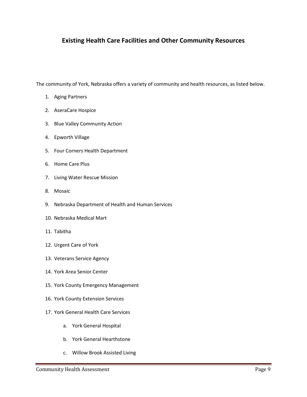## **Existing Health Care Facilities and Other Community Resources**

The community of York, Nebraska offers a variety of community and health resources, as listed below.

- 1. Aging Partners
- 2. AseraCare Hospice
- 3. Blue Valley Community Action
- 4. Epworth Village
- 5. Four Corners Health Department
- 6. Home Care Plus
- 7. Living Water Rescue Mission
- 8. Mosaic
- 9. Nebraska Department of Health and Human Services
- 10. Nebraska Medical Mart
- 11. Tabitha
- 12. Urgent Care of York
- 13. Veterans Service Agency
- 14. York Area Senior Center
- 15. York County Emergency Management
- 16. York County Extension Services
- 17. York General Health Care Services
	- a. York General Hospital
	- b. York General Hearthstone
	- c. Willow Brook Assisted Living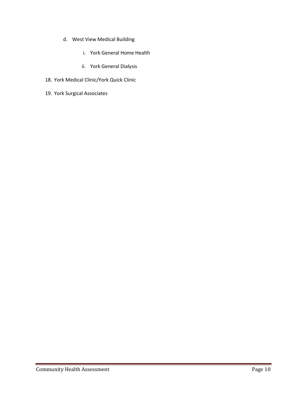- d. West View Medical Building
	- i. York General Home Health
	- ii. York General Dialysis
- 18. York Medical Clinic/York Quick Clinic
- 19. York Surgical Associates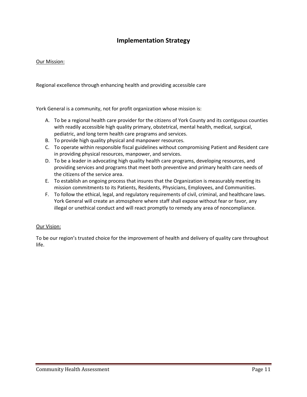## **Implementation Strategy**

### Our Mission:

Regional excellence through enhancing health and providing accessible care

York General is a community, not for profit organization whose mission is:

- A. To be a regional health care provider for the citizens of York County and its contiguous counties with readily accessible high quality primary, obstetrical, mental health, medical, surgical, pediatric, and long term health care programs and services.
- B. To provide high quality physical and manpower resources.
- C. To operate within responsible fiscal guidelines without compromising Patient and Resident care in providing physical resources, manpower, and services.
- D. To be a leader in advocating high quality health care programs, developing resources, and providing services and programs that meet both preventive and primary health care needs of the citizens of the service area.
- E. To establish an ongoing process that insures that the Organization is measurably meeting its mission commitments to its Patients, Residents, Physicians, Employees, and Communities.
- F. To follow the ethical, legal, and regulatory requirements of civil, criminal, and healthcare laws. York General will create an atmosphere where staff shall expose without fear or favor, any illegal or unethical conduct and will react promptly to remedy any area of noncompliance.

### Our Vision:

To be our region's trusted choice for the improvement of health and delivery of quality care throughout life.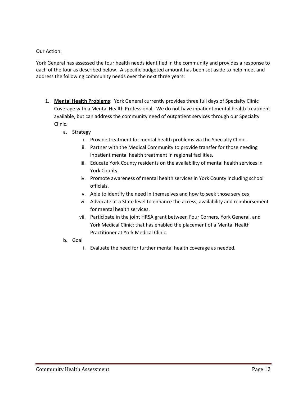## Our Action:

York General has assessed the four health needs identified in the community and provides a response to each of the four as described below. A specific budgeted amount has been set aside to help meet and address the following community needs over the next three years:

- 1. **Mental Health Problems**: York General currently provides three full days of Specialty Clinic Coverage with a Mental Health Professional. We do not have inpatient mental health treatment available, but can address the community need of outpatient services through our Specialty Clinic.
	- a. Strategy
		- i. Provide treatment for mental health problems via the Specialty Clinic.
		- ii. Partner with the Medical Community to provide transfer for those needing inpatient mental health treatment in regional facilities.
		- iii. Educate York County residents on the availability of mental health services in York County.
		- iv. Promote awareness of mental health services in York County including school officials.
		- v. Able to identify the need in themselves and how to seek those services
		- vi. Advocate at a State level to enhance the access, availability and reimbursement for mental health services.
		- vii. Participate in the joint HRSA grant between Four Corners, York General, and York Medical Clinic; that has enabled the placement of a Mental Health Practitioner at York Medical Clinic.
	- b. Goal
		- i. Evaluate the need for further mental health coverage as needed.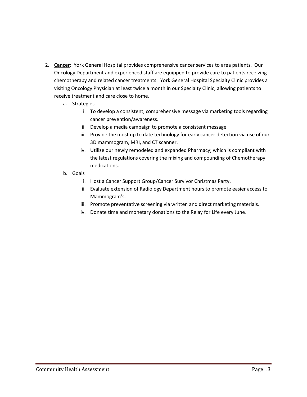- 2. **Cancer**: York General Hospital provides comprehensive cancer services to area patients. Our Oncology Department and experienced staff are equipped to provide care to patients receiving chemotherapy and related cancer treatments. York General Hospital Specialty Clinic provides a visiting Oncology Physician at least twice a month in our Specialty Clinic, allowing patients to receive treatment and care close to home.
	- a. Strategies
		- i. To develop a consistent, comprehensive message via marketing tools regarding cancer prevention/awareness.
		- ii. Develop a media campaign to promote a consistent message
		- iii. Provide the most up to date technology for early cancer detection via use of our 3D mammogram, MRI, and CT scanner.
		- iv. Utilize our newly remodeled and expanded Pharmacy; which is compliant with the latest regulations covering the mixing and compounding of Chemotherapy medications.
	- b. Goals
		- i. Host a Cancer Support Group/Cancer Survivor Christmas Party.
		- ii. Evaluate extension of Radiology Department hours to promote easier access to Mammogram's.
		- iii. Promote preventative screening via written and direct marketing materials.
		- iv. Donate time and monetary donations to the Relay for Life every June.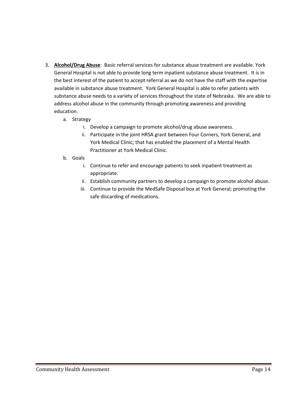- 3. **Alcohol/Drug Abuse**: Basic referral services for substance abuse treatment are available. York General Hospital is not able to provide long term inpatient substance abuse treatment. It is in the best interest of the patient to accept referral as we do not have the staff with the expertise available in substance abuse treatment. York General Hospital is able to refer patients with substance abuse needs to a variety of services throughout the state of Nebraska. We are able to address alcohol abuse in the community through promoting awareness and providing education.
	- a. Strategy
		- i. Develop a campaign to promote alcohol/drug abuse awareness.
		- ii. Participate in the joint HRSA grant between Four Corners, York General, and York Medical Clinic; that has enabled the placement of a Mental Health Practitioner at York Medical Clinic.
	- b. Goals
		- i. Continue to refer and encourage patients to seek inpatient treatment as appropriate.
		- ii. Establish community partners to develop a campaign to promote alcohol abuse.
		- iii. Continue to provide the MedSafe Disposal box at York General; promoting the safe discarding of medications.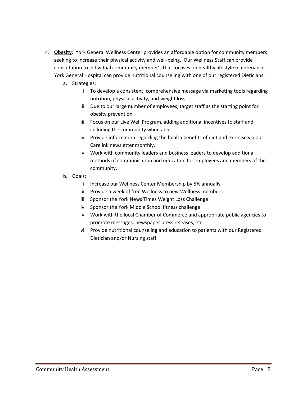- 4. **Obesity**: York General Wellness Center provides an affordable option for community members seeking to increase their physical activity and well-being. Our Wellness Staff can provide consultation to individual community member's that focuses on healthy lifestyle maintenance. York General Hospital can provide nutritional counseling with one of our registered Dieticians.
	- a. Strategies:
		- i. To develop a consistent, comprehensive message via marketing tools regarding nutrition, physical activity, and weight loss.
		- ii. Due to our large number of employees, target staff as the starting point for obesity prevention.
		- iii. Focus on our Live Well Program, adding additional incentives to staff and including the community when able.
		- iv. Provide information regarding the health benefits of diet and exercise via our Carelink newsletter monthly.
		- v. Work with community leaders and business leaders to develop additional methods of communication and education for employees and members of the community.
	- b. Goals:
		- i. Increase our Wellness Center Membership by 5% annually
		- ii. Provide a week of free Wellness to new Wellness members
		- iii. Sponsor the York News Times Weight Loss Challenge
		- iv. Sponsor the York Middle School fitness challenge
		- v. Work with the local Chamber of Commerce and appropriate public agencies to promote messages, newspaper press releases, etc.
		- vi. Provide nutritional counseling and education to patients with our Registered Dietician and/or Nursing staff.